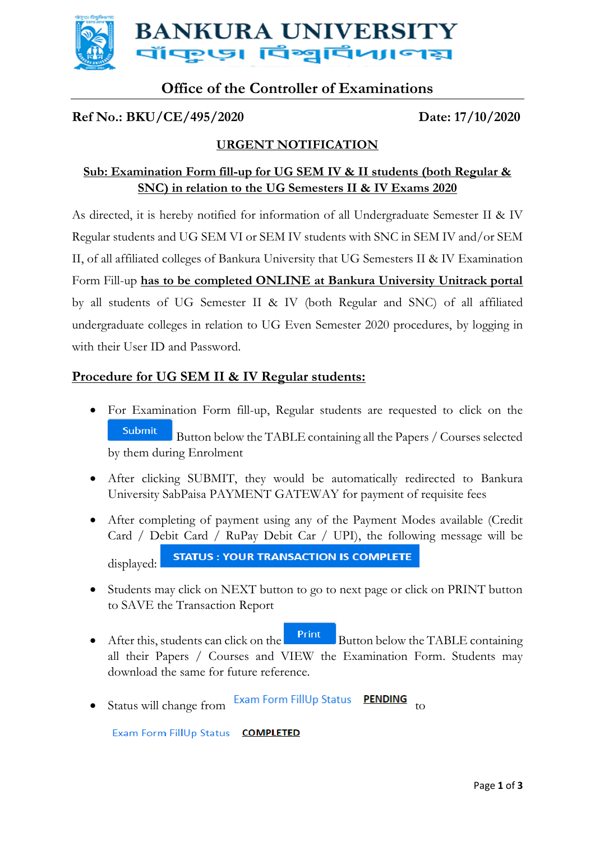

# **Office of the Controller of Examinations**

#### **Ref No.: BKU/CE/495/2020 Date: 17/10/2020**

## **URGENT NOTIFICATION**

## **Sub: Examination Form fill-up for UG SEM IV & II students (both Regular & SNC) in relation to the UG Semesters II & IV Exams 2020**

As directed, it is hereby notified for information of all Undergraduate Semester II & IV Regular students and UG SEM VI or SEM IV students with SNC in SEM IV and/or SEM II, of all affiliated colleges of Bankura University that UG Semesters II & IV Examination Form Fill-up **has to be completed ONLINE at Bankura University Unitrack portal** by all students of UG Semester II & IV (both Regular and SNC) of all affiliated undergraduate colleges in relation to UG Even Semester 2020 procedures, by logging in with their User ID and Password.

#### **Procedure for UG SEM II & IV Regular students:**

- For Examination Form fill-up, Regular students are requested to click on the **Submit** Button below the TABLE containing all the Papers / Courses selected by them during Enrolment
- After clicking SUBMIT, they would be automatically redirected to Bankura University SabPaisa PAYMENT GATEWAY for payment of requisite fees
- After completing of payment using any of the Payment Modes available (Credit Card / Debit Card / RuPay Debit Car / UPI), the following message will be **STATUS : YOUR TRANSACTION IS COMPLETE** displayed:
- Students may click on NEXT button to go to next page or click on PRINT button to SAVE the Transaction Report
- $\bullet$  After this, students can click on the  $\frac{\text{Print}}{\text{Button below the TABLE containing}}$ all their Papers / Courses and VIEW the Examination Form. Students may download the same for future reference.
- Status will change from Exam Form FillUp Status **PENDING** to

Exam Form FillUp Status COMPLETED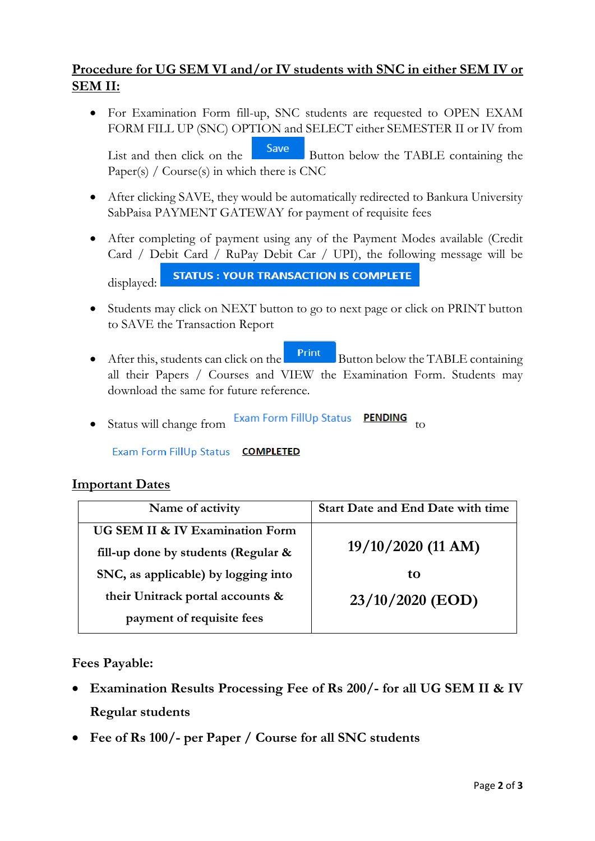## **Procedure for UG SEM VI and/or IV students with SNC in either SEM IV or SEM II:**

 For Examination Form fill-up, SNC students are requested to OPEN EXAM FORM FILL UP (SNC) OPTION and SELECT either SEMESTER II or IV from List and then click on the **Save** Button below the TABLE containing the

Paper(s) /  $Course(s)$  in which there is CNC

- After clicking SAVE, they would be automatically redirected to Bankura University SabPaisa PAYMENT GATEWAY for payment of requisite fees
- After completing of payment using any of the Payment Modes available (Credit Card / Debit Card / RuPay Debit Car / UPI), the following message will be

```
STATUS : YOUR TRANSACTION IS COMPLETE
```
displayed:

- Students may click on NEXT button to go to next page or click on PRINT button to SAVE the Transaction Report
- $\bullet$  After this, students can click on the  $\bullet$  Button below the TABLE containing all their Papers / Courses and VIEW the Examination Form. Students may download the same for future reference.
- Status will change from Exam Form FillUp Status **PENDING** to

Exam Form FillUp Status COMPLETED

#### **Important Dates**

| Name of activity                    | <b>Start Date and End Date with time</b> |
|-------------------------------------|------------------------------------------|
| UG SEM II & IV Examination Form     |                                          |
| fill-up done by students (Regular & | $19/10/2020$ (11 AM)                     |
| SNC, as applicable) by logging into | tΩ                                       |
| their Unitrack portal accounts &    | $23/10/2020$ (EOD)                       |
| payment of requisite fees           |                                          |

**Fees Payable:**

- **Examination Results Processing Fee of Rs 200/- for all UG SEM II & IV Regular students**
- **Fee of Rs 100/- per Paper / Course for all SNC students**